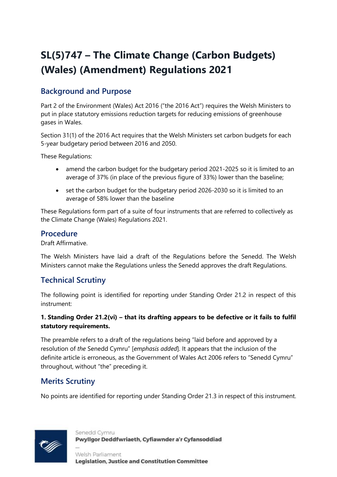# **SL(5)747 – The Climate Change (Carbon Budgets) (Wales) (Amendment) Regulations 2021**

# **Background and Purpose**

Part 2 of the Environment (Wales) Act 2016 ("the 2016 Act") requires the Welsh Ministers to put in place statutory emissions reduction targets for reducing emissions of greenhouse gases in Wales.

Section 31(1) of the 2016 Act requires that the Welsh Ministers set carbon budgets for each 5-year budgetary period between 2016 and 2050.

These Regulations:

- amend the carbon budget for the budgetary period 2021-2025 so it is limited to an average of 37% (in place of the previous figure of 33%) lower than the baseline;
- set the carbon budget for the budgetary period 2026-2030 so it is limited to an average of 58% lower than the baseline

These Regulations form part of a suite of four instruments that are referred to collectively as the Climate Change (Wales) Regulations 2021.

## **Procedure**

Draft Affirmative.

The Welsh Ministers have laid a draft of the Regulations before the Senedd. The Welsh Ministers cannot make the Regulations unless the Senedd approves the draft Regulations.

# **Technical Scrutiny**

The following point is identified for reporting under Standing Order 21.2 in respect of this instrument:

#### **1. Standing Order 21.2(vi) – that its drafting appears to be defective or it fails to fulfil statutory requirements.**

The preamble refers to a draft of the regulations being "laid before and approved by a resolution of *the* Senedd Cymru" [*emphasis added*]. It appears that the inclusion of the definite article is erroneous, as the Government of Wales Act 2006 refers to "Senedd Cymru" throughout, without "the" preceding it.

# **Merits Scrutiny**

No points are identified for reporting under Standing Order 21.3 in respect of this instrument.



Senedd Cymru Pwyllgor Deddfwriaeth, Cyfiawnder a'r Cyfansoddiad

Welsh Parliament **Legislation, Justice and Constitution Committee**